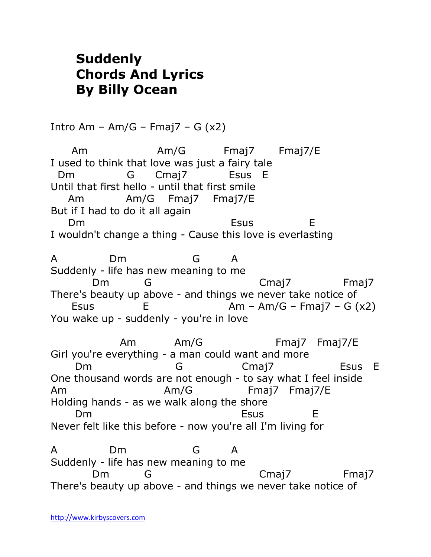## **Suddenly Chords And Lyrics By Billy Ocean**

Intro Am – Am/G – Fmaj $7 - G(x2)$ Am Am/G Fmaj7 Fmaj7/E I used to think that love was just a fairy tale Dm G Cmaj7 Esus E Until that first hello - until that first smile

 Am Am/G Fmaj7 Fmaj7/E But if I had to do it all again Dm Esus E I wouldn't change a thing - Cause this love is everlasting

A Dm G A Suddenly - life has new meaning to me Dm G Cmaj7 Fmaj7 There's beauty up above - and things we never take notice of Esus  $E$   $Am - Am/G - Fmaj7 - G (x2)$ You wake up - suddenly - you're in love

 Am Am/G Fmaj7 Fmaj7/E Girl you're everything - a man could want and more Dm G Cmaj7 Esus E One thousand words are not enough - to say what I feel inside Am Am/G Fmaj7 Fmaj7/E Holding hands - as we walk along the shore Dm Esus E Never felt like this before - now you're all I'm living for

A Dm G A Suddenly - life has new meaning to me Dm G Cmaj7 Fmaj7 There's beauty up above - and things we never take notice of